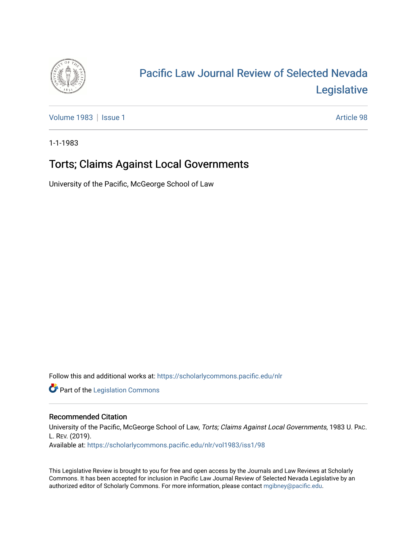

# [Pacific Law Journal Review of Selected Nevada](https://scholarlycommons.pacific.edu/nlr)  [Legislative](https://scholarlycommons.pacific.edu/nlr)

[Volume 1983](https://scholarlycommons.pacific.edu/nlr/vol1983) | [Issue 1](https://scholarlycommons.pacific.edu/nlr/vol1983/iss1) Article 98

1-1-1983

## Torts; Claims Against Local Governments

University of the Pacific, McGeorge School of Law

Follow this and additional works at: [https://scholarlycommons.pacific.edu/nlr](https://scholarlycommons.pacific.edu/nlr?utm_source=scholarlycommons.pacific.edu%2Fnlr%2Fvol1983%2Fiss1%2F98&utm_medium=PDF&utm_campaign=PDFCoverPages) 

**Part of the [Legislation Commons](http://network.bepress.com/hgg/discipline/859?utm_source=scholarlycommons.pacific.edu%2Fnlr%2Fvol1983%2Fiss1%2F98&utm_medium=PDF&utm_campaign=PDFCoverPages)** 

### Recommended Citation

University of the Pacific, McGeorge School of Law, Torts; Claims Against Local Governments, 1983 U. PAC. L. REV. (2019). Available at: [https://scholarlycommons.pacific.edu/nlr/vol1983/iss1/98](https://scholarlycommons.pacific.edu/nlr/vol1983/iss1/98?utm_source=scholarlycommons.pacific.edu%2Fnlr%2Fvol1983%2Fiss1%2F98&utm_medium=PDF&utm_campaign=PDFCoverPages)

This Legislative Review is brought to you for free and open access by the Journals and Law Reviews at Scholarly Commons. It has been accepted for inclusion in Pacific Law Journal Review of Selected Nevada Legislative by an authorized editor of Scholarly Commons. For more information, please contact [mgibney@pacific.edu](mailto:mgibney@pacific.edu).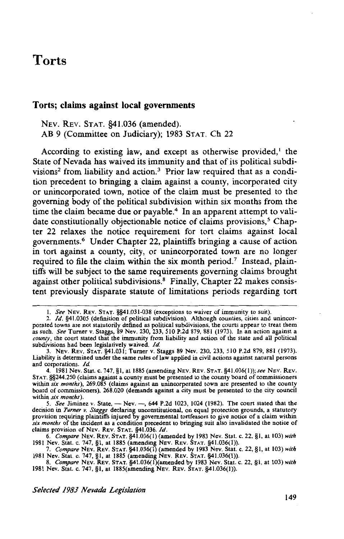## **Torts**

#### **Torts; claims against local governments**

NEv. REV. STAT. §41.036 (amended). AB 9 (Committee on Judiciary); 1983 STAT. Ch 22

According to existing law, and except as otherwise provided,<sup>1</sup> the State of Nevada has waived its immunity and that of its political subdivisions<sup>2</sup> from liability and action.<sup>3</sup> Prior law required that as a condition precedent to bringing a claim against a county, incorporated city or unincorporated town, notice of the claim must be presented to the governing body of the political subdivision within six months from the time the claim became due or payable.<sup>4</sup> In an apparent attempt to validate constitutionally objectionable notice of claims provisions, $5$  Chapter 22 relaxes the notice requirement for tort claims against local govemments.6 Under Chapter 22, plaintiffs bringing a cause of action in tort against a county, city, or unincorporated town are no longer required to file the claim within the six month period.<sup>7</sup> Instead, plaintiffs will be subject to the same requirements governing claims brought against other political subdivisions. 8 Finally, Chapter 22 makes consistent previously disparate statute of limitations periods regarding tort

I. *See* NEv. REV. STAT. §§41.031-038 (exceptions to waiver of immunity to suit).

<sup>2.</sup> */d.* §41.0305 (definition of political subdivision). Although counties, cities and unincorporated towns are not statutorily defined as political subdivisions, the courts appear to treat them as such. *See* Turner v. Staggs, 89 Nev. 230, 233, 510 P.2d 879, 881 (1973). In an action against a *county,* the court stated that the immunity from liability and action of the state and all political subdivisions had been legislatively waived. */d.* 

<sup>3.</sup> NEV. REv. STAT. §41.031; Turner v. Staggs 89 Nev. 230, 233, 510 P.2d 879, 881 (1973). Liability is determined under the same rules of law applied in civil actions against natural persons and corporations. */d.* 

<sup>4. 1981</sup> Nev. Stat. c. 747, §1, at 1885 (amending NEV. REV. STAT. §41.036(1)); see NEV. REV. STAT. §§244.250 (claims against a county must be presented to the county board of commissioners within *six months),* 269.085 (claims against an unincorporated town are presented to the county board of commissioners), 268.020 (demands against a city must be presented to the city council within *six months).* 

<sup>5.</sup> See Jiminez v. State, - Nev. -, 644 P.2d 1023, 1024 (1982). The court stated that the decision in *Turner v. Staggs* declaring unconstitutional, on equal protection grounds, a statutory provision requiring plaintiffs injured by governmental tortfeasors to give notice of a claim within *six months* of the incident as a condition precedent to bringing suit also invalidated the notice of claims provision of NEv. REv. STAT. §41.036. */d.* 

<sup>6.</sup> *Compare* NEV. REv. STAT. §41.036(1) (amended by 1983 Nev. Stat. c. 22, §I, at 103) *with*  1981 Nev. Stat. c. 747, §1, at 1885 (amending NEv. REv. STAT. §41.036(1)).

<sup>7.</sup> *Compare* NEv. REv. STAT. §41.036(1) (amended by 1983 Nev. Stat. c. 22, §I, at 103) *with*  1981 Nev. Stat. c. 747, §!,at 1885 (amending NEV. REV. STAT. §41.036(1)).

<sup>8.</sup> *Compare* NEV. REv. STAT. §41.036(l)(amended by 1983 Nev. Stat. c. 22, §I, at 103) *with*  1981 Nev. Stat. c. 747, §1, at 1885(amending NEV. REv. STAT. §41.036(1)).